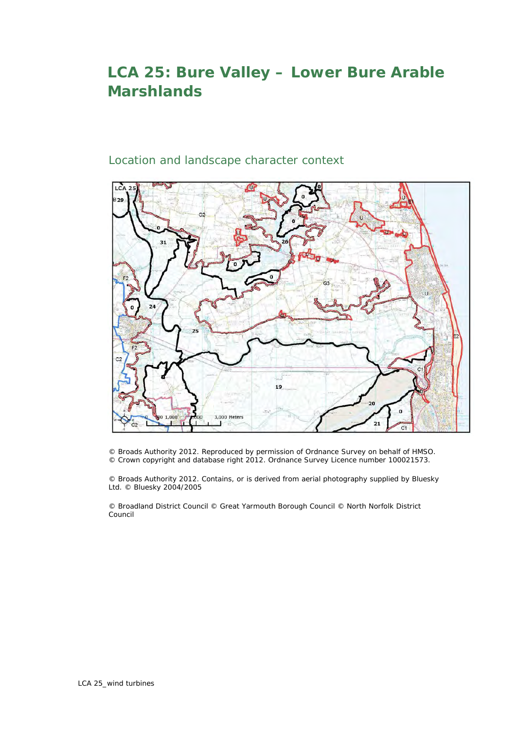## **LCA 25: Bure Valley – Lower Bure Arable Marshlands**

## Location and landscape character context



© Broads Authority 2012. Reproduced by permission of Ordnance Survey on behalf of HMSO. © Crown copyright and database right 2012. Ordnance Survey Licence number 100021573.

© Broads Authority 2012. Contains, or is derived from aerial photography supplied by Bluesky Ltd. © Bluesky 2004/2005

© Broadland District Council © Great Yarmouth Borough Council © North Norfolk District Council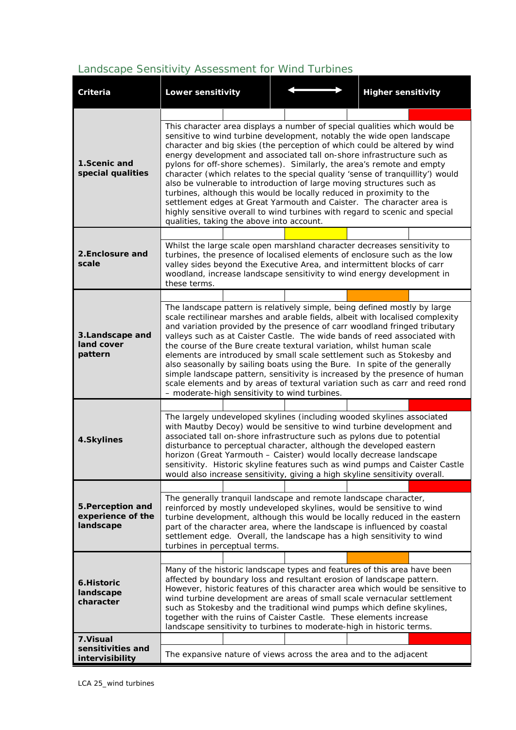## *Landscape Sensitivity Assessment for Wind Turbines*

| <b>Criteria</b>                                     | <b>Lower sensitivity</b>                                                                                                                                                                                                                                                                                                                                                                                                                                                                                                                                                                                                                                                                                                                                                                                                    |  |  |  |  | <b>Higher sensitivity</b>                                                                                                                                                                                                                                                                                                                                                                                                                                                                                                              |  |  |  |
|-----------------------------------------------------|-----------------------------------------------------------------------------------------------------------------------------------------------------------------------------------------------------------------------------------------------------------------------------------------------------------------------------------------------------------------------------------------------------------------------------------------------------------------------------------------------------------------------------------------------------------------------------------------------------------------------------------------------------------------------------------------------------------------------------------------------------------------------------------------------------------------------------|--|--|--|--|----------------------------------------------------------------------------------------------------------------------------------------------------------------------------------------------------------------------------------------------------------------------------------------------------------------------------------------------------------------------------------------------------------------------------------------------------------------------------------------------------------------------------------------|--|--|--|
|                                                     |                                                                                                                                                                                                                                                                                                                                                                                                                                                                                                                                                                                                                                                                                                                                                                                                                             |  |  |  |  |                                                                                                                                                                                                                                                                                                                                                                                                                                                                                                                                        |  |  |  |
| 1.Scenic and<br>special qualities                   | This character area displays a number of special qualities which would be<br>sensitive to wind turbine development, notably the wide open landscape<br>character and big skies (the perception of which could be altered by wind<br>energy development and associated tall on-shore infrastructure such as<br>pylons for off-shore schemes). Similarly, the area's remote and empty<br>character (which relates to the special quality 'sense of tranquillity') would<br>also be vulnerable to introduction of large moving structures such as<br>turbines, although this would be locally reduced in proximity to the<br>settlement edges at Great Yarmouth and Caister. The character area is<br>highly sensitive overall to wind turbines with regard to scenic and special<br>qualities, taking the above into account. |  |  |  |  |                                                                                                                                                                                                                                                                                                                                                                                                                                                                                                                                        |  |  |  |
|                                                     |                                                                                                                                                                                                                                                                                                                                                                                                                                                                                                                                                                                                                                                                                                                                                                                                                             |  |  |  |  |                                                                                                                                                                                                                                                                                                                                                                                                                                                                                                                                        |  |  |  |
| 2. Enclosure and<br>scale                           | these terms.                                                                                                                                                                                                                                                                                                                                                                                                                                                                                                                                                                                                                                                                                                                                                                                                                |  |  |  |  | Whilst the large scale open marshland character decreases sensitivity to<br>turbines, the presence of localised elements of enclosure such as the low<br>valley sides beyond the Executive Area, and intermittent blocks of carr<br>woodland, increase landscape sensitivity to wind energy development in                                                                                                                                                                                                                             |  |  |  |
|                                                     |                                                                                                                                                                                                                                                                                                                                                                                                                                                                                                                                                                                                                                                                                                                                                                                                                             |  |  |  |  |                                                                                                                                                                                                                                                                                                                                                                                                                                                                                                                                        |  |  |  |
| 3.Landscape and<br>land cover<br>pattern            | The landscape pattern is relatively simple, being defined mostly by large<br>scale rectilinear marshes and arable fields, albeit with localised complexity<br>and variation provided by the presence of carr woodland fringed tributary<br>valleys such as at Caister Castle. The wide bands of reed associated with<br>the course of the Bure create textural variation, whilst human scale<br>elements are introduced by small scale settlement such as Stokesby and<br>also seasonally by sailing boats using the Bure. In spite of the generally<br>simple landscape pattern, sensitivity is increased by the presence of human<br>scale elements and by areas of textural variation such as carr and reed rond<br>- moderate-high sensitivity to wind turbines.                                                        |  |  |  |  |                                                                                                                                                                                                                                                                                                                                                                                                                                                                                                                                        |  |  |  |
|                                                     |                                                                                                                                                                                                                                                                                                                                                                                                                                                                                                                                                                                                                                                                                                                                                                                                                             |  |  |  |  |                                                                                                                                                                                                                                                                                                                                                                                                                                                                                                                                        |  |  |  |
| 4.Skylines                                          | The largely undeveloped skylines (including wooded skylines associated<br>with Mautby Decoy) would be sensitive to wind turbine development and<br>associated tall on-shore infrastructure such as pylons due to potential<br>disturbance to perceptual character, although the developed eastern<br>horizon (Great Yarmouth - Caister) would locally decrease landscape<br>sensitivity. Historic skyline features such as wind pumps and Caister Castle<br>would also increase sensitivity, giving a high skyline sensitivity overall.                                                                                                                                                                                                                                                                                     |  |  |  |  |                                                                                                                                                                                                                                                                                                                                                                                                                                                                                                                                        |  |  |  |
|                                                     |                                                                                                                                                                                                                                                                                                                                                                                                                                                                                                                                                                                                                                                                                                                                                                                                                             |  |  |  |  |                                                                                                                                                                                                                                                                                                                                                                                                                                                                                                                                        |  |  |  |
| 5. Perception and<br>experience of the<br>landscape | The generally tranquil landscape and remote landscape character,<br>reinforced by mostly undeveloped skylines, would be sensitive to wind<br>turbine development, although this would be locally reduced in the eastern<br>part of the character area, where the landscape is influenced by coastal<br>settlement edge. Overall, the landscape has a high sensitivity to wind<br>turbines in perceptual terms.                                                                                                                                                                                                                                                                                                                                                                                                              |  |  |  |  |                                                                                                                                                                                                                                                                                                                                                                                                                                                                                                                                        |  |  |  |
|                                                     |                                                                                                                                                                                                                                                                                                                                                                                                                                                                                                                                                                                                                                                                                                                                                                                                                             |  |  |  |  |                                                                                                                                                                                                                                                                                                                                                                                                                                                                                                                                        |  |  |  |
| 6. Historic<br>landscape<br>character               |                                                                                                                                                                                                                                                                                                                                                                                                                                                                                                                                                                                                                                                                                                                                                                                                                             |  |  |  |  | Many of the historic landscape types and features of this area have been<br>affected by boundary loss and resultant erosion of landscape pattern.<br>However, historic features of this character area which would be sensitive to<br>wind turbine development are areas of small scale vernacular settlement<br>such as Stokesby and the traditional wind pumps which define skylines,<br>together with the ruins of Caister Castle. These elements increase<br>landscape sensitivity to turbines to moderate-high in historic terms. |  |  |  |
| 7. Visual                                           |                                                                                                                                                                                                                                                                                                                                                                                                                                                                                                                                                                                                                                                                                                                                                                                                                             |  |  |  |  |                                                                                                                                                                                                                                                                                                                                                                                                                                                                                                                                        |  |  |  |
| sensitivities and<br>intervisibility                |                                                                                                                                                                                                                                                                                                                                                                                                                                                                                                                                                                                                                                                                                                                                                                                                                             |  |  |  |  | The expansive nature of views across the area and to the adjacent                                                                                                                                                                                                                                                                                                                                                                                                                                                                      |  |  |  |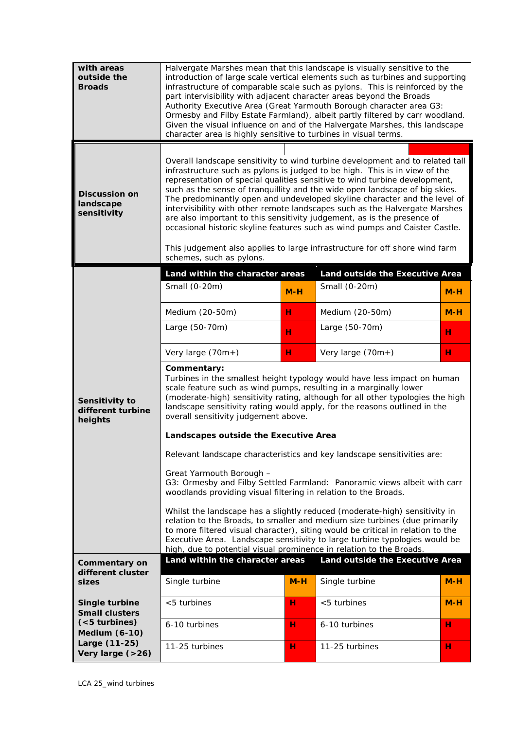| with areas<br>outside the<br><b>Broads</b>       | Halvergate Marshes mean that this landscape is visually sensitive to the<br>introduction of large scale vertical elements such as turbines and supporting<br>infrastructure of comparable scale such as pylons. This is reinforced by the<br>part intervisibility with adjacent character areas beyond the Broads<br>Authority Executive Area (Great Yarmouth Borough character area G3:<br>Ormesby and Filby Estate Farmland), albeit partly filtered by carr woodland.<br>Given the visual influence on and of the Halvergate Marshes, this landscape<br>character area is highly sensitive to turbines in visual terms.                     |       |                                                                                                                                                                                                                                                                                                                           |       |  |  |  |  |
|--------------------------------------------------|------------------------------------------------------------------------------------------------------------------------------------------------------------------------------------------------------------------------------------------------------------------------------------------------------------------------------------------------------------------------------------------------------------------------------------------------------------------------------------------------------------------------------------------------------------------------------------------------------------------------------------------------|-------|---------------------------------------------------------------------------------------------------------------------------------------------------------------------------------------------------------------------------------------------------------------------------------------------------------------------------|-------|--|--|--|--|
|                                                  |                                                                                                                                                                                                                                                                                                                                                                                                                                                                                                                                                                                                                                                |       |                                                                                                                                                                                                                                                                                                                           |       |  |  |  |  |
| <b>Discussion on</b><br>landscape<br>sensitivity | Overall landscape sensitivity to wind turbine development and to related tall<br>infrastructure such as pylons is judged to be high. This is in view of the<br>representation of special qualities sensitive to wind turbine development,<br>such as the sense of tranquillity and the wide open landscape of big skies.<br>The predominantly open and undeveloped skyline character and the level of<br>intervisibility with other remote landscapes such as the Halvergate Marshes<br>are also important to this sensitivity judgement, as is the presence of<br>occasional historic skyline features such as wind pumps and Caister Castle. |       |                                                                                                                                                                                                                                                                                                                           |       |  |  |  |  |
|                                                  | This judgement also applies to large infrastructure for off shore wind farm<br>schemes, such as pylons.                                                                                                                                                                                                                                                                                                                                                                                                                                                                                                                                        |       |                                                                                                                                                                                                                                                                                                                           |       |  |  |  |  |
| Sensitivity to<br>different turbine<br>heights   | Land within the character areas                                                                                                                                                                                                                                                                                                                                                                                                                                                                                                                                                                                                                |       | Land outside the Executive Area                                                                                                                                                                                                                                                                                           |       |  |  |  |  |
|                                                  | Small (0-20m)                                                                                                                                                                                                                                                                                                                                                                                                                                                                                                                                                                                                                                  | $M-H$ | Small (0-20m)                                                                                                                                                                                                                                                                                                             | $M-H$ |  |  |  |  |
|                                                  | Medium (20-50m)                                                                                                                                                                                                                                                                                                                                                                                                                                                                                                                                                                                                                                | н     | Medium (20-50m)                                                                                                                                                                                                                                                                                                           | $M-H$ |  |  |  |  |
|                                                  | Large (50-70m)                                                                                                                                                                                                                                                                                                                                                                                                                                                                                                                                                                                                                                 | н     | Large (50-70m)                                                                                                                                                                                                                                                                                                            | н     |  |  |  |  |
|                                                  | Very large (70m+)                                                                                                                                                                                                                                                                                                                                                                                                                                                                                                                                                                                                                              | н     | Very large (70m+)                                                                                                                                                                                                                                                                                                         | н     |  |  |  |  |
|                                                  | Commentary:<br>Turbines in the smallest height typology would have less impact on human<br>scale feature such as wind pumps, resulting in a marginally lower<br>(moderate-high) sensitivity rating, although for all other typologies the high<br>landscape sensitivity rating would apply, for the reasons outlined in the<br>overall sensitivity judgement above.                                                                                                                                                                                                                                                                            |       |                                                                                                                                                                                                                                                                                                                           |       |  |  |  |  |
|                                                  |                                                                                                                                                                                                                                                                                                                                                                                                                                                                                                                                                                                                                                                |       |                                                                                                                                                                                                                                                                                                                           |       |  |  |  |  |
|                                                  | Landscapes outside the Executive Area                                                                                                                                                                                                                                                                                                                                                                                                                                                                                                                                                                                                          |       |                                                                                                                                                                                                                                                                                                                           |       |  |  |  |  |
|                                                  |                                                                                                                                                                                                                                                                                                                                                                                                                                                                                                                                                                                                                                                |       | Relevant landscape characteristics and key landscape sensitivities are:                                                                                                                                                                                                                                                   |       |  |  |  |  |
|                                                  | Great Yarmouth Borough -<br>woodlands providing visual filtering in relation to the Broads.                                                                                                                                                                                                                                                                                                                                                                                                                                                                                                                                                    |       | G3: Ormesby and Filby Settled Farmland: Panoramic views albeit with carr                                                                                                                                                                                                                                                  |       |  |  |  |  |
|                                                  | high, due to potential visual prominence in relation to the Broads.                                                                                                                                                                                                                                                                                                                                                                                                                                                                                                                                                                            |       | Whilst the landscape has a slightly reduced (moderate-high) sensitivity in<br>relation to the Broads, to smaller and medium size turbines (due primarily<br>to more filtered visual character), siting would be critical in relation to the<br>Executive Area. Landscape sensitivity to large turbine typologies would be |       |  |  |  |  |
| Commentary on                                    | Land within the character areas                                                                                                                                                                                                                                                                                                                                                                                                                                                                                                                                                                                                                |       | Land outside the Executive Area                                                                                                                                                                                                                                                                                           |       |  |  |  |  |
| different cluster<br>sizes                       | Single turbine                                                                                                                                                                                                                                                                                                                                                                                                                                                                                                                                                                                                                                 | $M-H$ | Single turbine                                                                                                                                                                                                                                                                                                            | $M-H$ |  |  |  |  |
| Single turbine<br><b>Small clusters</b>          | <5 turbines                                                                                                                                                                                                                                                                                                                                                                                                                                                                                                                                                                                                                                    | н     | <5 turbines                                                                                                                                                                                                                                                                                                               | $M-H$ |  |  |  |  |
| ( <sub>5</sub> turbines)<br><b>Medium (6-10)</b> | 6-10 turbines                                                                                                                                                                                                                                                                                                                                                                                                                                                                                                                                                                                                                                  | н     | 6-10 turbines                                                                                                                                                                                                                                                                                                             | н     |  |  |  |  |